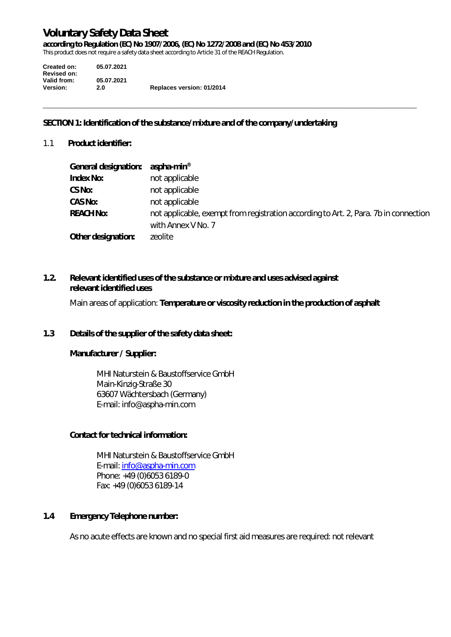**according to Regulation (EC) No 1907/2006, (EC) No 1272/2008 and (EC) No 453/2010** 

This product does not require a safety data sheet according to Article 31 of the REACH Regulation.

| Created on:        | 05.07.2021 |                           |
|--------------------|------------|---------------------------|
| <b>Revised on:</b> |            |                           |
| Valid from:        | 05.07.2021 |                           |
| <b>Version:</b>    | 2.0        | Replaces version: 01/2014 |

# **SECTION 1: Identification of the substance/mixture and of the company/undertaking**

1.1 **Product identifier:** 

| General designation: | aspha-min <sup>®</sup>                                                                                     |
|----------------------|------------------------------------------------------------------------------------------------------------|
| <b>Index No:</b>     | not applicable                                                                                             |
| CS No:               | not applicable                                                                                             |
| CAS No:              | not applicable                                                                                             |
| <b>REACH No:</b>     | not applicable, exempt from registration according to Art. 2, Para. 7b in connection<br>with Annex V No. 7 |
| Other designation:   | zeolite                                                                                                    |

 $\_$  , and the set of the set of the set of the set of the set of the set of the set of the set of the set of the set of the set of the set of the set of the set of the set of the set of the set of the set of the set of th

# **1.2. Relevant identified uses of the substance or mixture and uses advised against relevant identified uses**

Main areas of application: **Temperature or viscosity reduction in the production of asphalt**

# **1.3 Details of the supplier of the safety data sheet:**

# **Manufacturer / Supplier:**

MHI Naturstein & Baustoffservice GmbH Main-Kinzig-Straße 30 63607 Wächtersbach (Germany) E-mail: info@aspha-min.com

# **Contact for technical information:**

MHI Naturstein & Baustoffservice GmbH E-mail: info@aspha-min.com Phone: +49 (0)6053 6189-0 Fax: +49 (0)6053 6189-14

# **1.4 Emergency Telephone number:**

As no acute effects are known and no special first aid measures are required: not relevant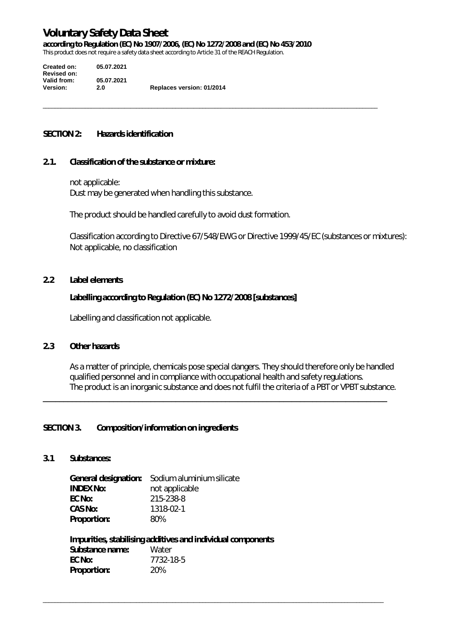**according to Regulation (EC) No 1907/2006, (EC) No 1272/2008 and (EC) No 453/2010** 

\_\_\_\_\_\_\_\_\_\_\_\_\_\_\_\_\_\_\_\_\_\_\_\_\_\_\_\_\_\_\_\_\_\_\_\_\_\_\_\_\_\_\_\_\_\_\_\_\_\_\_\_\_\_\_\_\_\_\_\_\_\_\_\_\_\_\_\_\_\_\_\_\_\_\_\_\_\_\_\_\_\_\_\_\_\_\_\_\_\_\_\_\_\_\_\_\_\_\_\_\_\_\_\_\_\_\_\_\_\_\_

This product does not require a safety data sheet according to Article 31 of the REACH Regulation.

| <b>Created on:</b> | 05.07.2021 |                           |
|--------------------|------------|---------------------------|
| <b>Revised on:</b> |            |                           |
| Valid from:        | 05.07.2021 |                           |
| <b>Version:</b>    | 2.0        | Replaces version: 01/2014 |

#### **SECTION 2: Hazards identification**

#### **2.1. Classification of the substance or mixture:**

 not applicable: Dust may be generated when handling this substance.

The product should be handled carefully to avoid dust formation.

Classification according to Directive 67/548/EWG or Directive 1999/45/EC (substances or mixtures): Not applicable, no classification

#### **2.2 Label elements**

#### **Labelling according to Regulation (EC) No 1272/2008 [substances]**

Labelling and classification not applicable.

# **2.3 Other hazards**

As a matter of principle, chemicals pose special dangers. They should therefore only be handled qualified personnel and in compliance with occupational health and safety regulations. The product is an inorganic substance and does not fulfil the criteria of a PBT or VPBT substance.

\_\_\_\_\_\_\_\_\_\_\_\_\_\_\_\_\_\_\_\_\_\_\_\_\_\_\_\_\_\_\_\_\_\_\_\_\_\_\_\_\_\_\_\_\_\_\_\_\_\_\_\_\_\_\_\_\_\_\_\_\_\_\_\_\_\_\_\_\_\_\_\_\_\_\_\_\_\_\_\_\_\_\_

\_\_\_\_\_\_\_\_\_\_\_\_\_\_\_\_\_\_\_\_\_\_\_\_\_\_\_\_\_\_\_\_\_\_\_\_\_\_\_\_\_\_\_\_\_\_\_\_\_\_\_\_\_\_\_\_\_\_\_\_\_\_\_\_\_\_\_\_\_\_\_\_\_\_\_\_\_\_\_\_\_\_\_\_\_\_\_\_\_\_\_\_\_\_\_\_\_\_\_\_\_\_\_\_\_\_\_\_\_\_\_\_\_

#### **SECTION 3. Composition/information on ingredients**

**3.1 Substances:** 

**General designation:** Sodium aluminium silicate **INDEX No:** not applicable **EC No:** 215-238-8 **CAS No:** 1318-02-1 **Proportion:** 80%

| Impurities, stabilising additives and individual components |           |  |  |
|-------------------------------------------------------------|-----------|--|--|
| Substance name:                                             | Water     |  |  |
| EC No:                                                      | 7732-18-5 |  |  |
| <b>Proportion:</b>                                          | 20%       |  |  |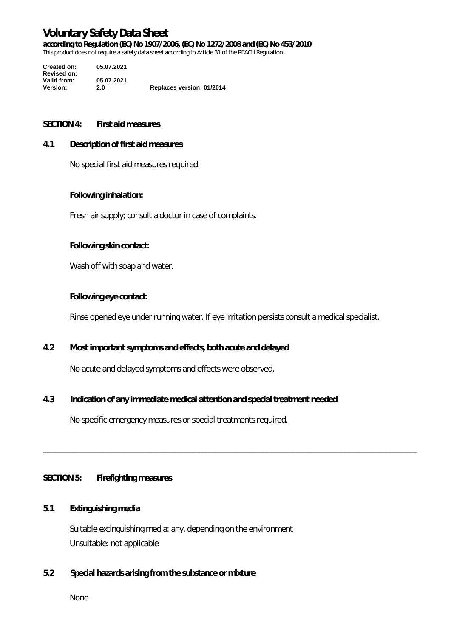**according to Regulation (EC) No 1907/2006, (EC) No 1272/2008 and (EC) No 453/2010** 

This product does not require a safety data sheet according to Article 31 of the REACH Regulation.

**Created on: 05.07.2021 Revised on: Valid from: 05.07.2021 Version: 2.0 Replaces version: 01/2014**

#### **SECTION 4: First aid measures**

#### **4.1 Description of first aid measures**

No special first aid measures required.

#### **Following inhalation:**

Fresh air supply; consult a doctor in case of complaints.

#### **Following skin contact:**

Wash off with soap and water.

#### **Following eye contact:**

Rinse opened eye under running water. If eye irritation persists consult a medical specialist.

\_\_\_\_\_\_\_\_\_\_\_\_\_\_\_\_\_\_\_\_\_\_\_\_\_\_\_\_\_\_\_\_\_\_\_\_\_\_\_\_\_\_\_\_\_\_\_\_\_\_\_\_\_\_\_\_\_\_\_\_\_\_\_\_\_\_\_\_\_\_\_\_\_\_\_\_\_\_\_\_\_\_\_\_\_\_\_\_\_\_\_\_\_\_\_\_\_\_\_\_\_\_\_\_\_\_\_\_\_\_\_\_\_\_\_\_\_\_\_\_\_\_\_\_

# **4.2 Most important symptoms and effects, both acute and delayed**

No acute and delayed symptoms and effects were observed.

# **4.3 Indication of any immediate medical attention and special treatment needed**

No specific emergency measures or special treatments required.

# **SECTION 5: Firefighting measures**

# **5.1 Extinguishing media**

Suitable extinguishing media: any, depending on the environment Unsuitable: not applicable

# **5.2 Special hazards arising from the substance or mixture**

None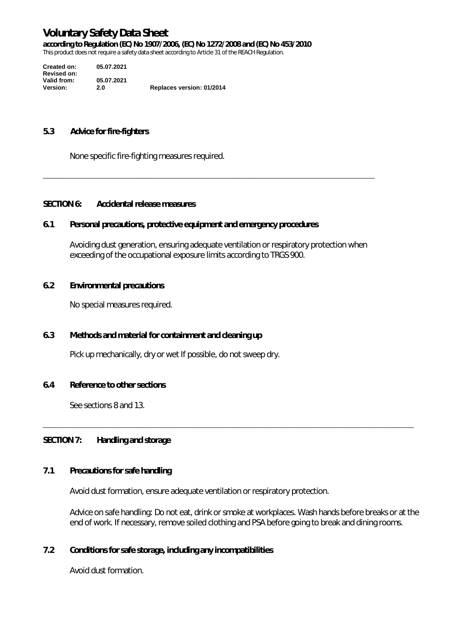**according to Regulation (EC) No 1907/2006, (EC) No 1272/2008 and (EC) No 453/2010** 

This product does not require a safety data sheet according to Article 31 of the REACH Regulation.

| Created on:        | 05.07.2021 |                           |
|--------------------|------------|---------------------------|
| <b>Revised on:</b> |            |                           |
| Valid from:        | 05.07.2021 |                           |
| <b>Version:</b>    | 2.0        | Replaces version: 01/2014 |

#### **5.3 Advice for fire-fighters**

None specific fire-fighting measures required.

#### **SECTION 6: Accidental release measures**

#### **6.1 Personal precautions, protective equipment and emergency procedures**

Avoiding dust generation, ensuring adequate ventilation or respiratory protection when exceeding of the occupational exposure limits according to TRGS 900.

\_\_\_\_\_\_\_\_\_\_\_\_\_\_\_\_\_\_\_\_\_\_\_\_\_\_\_\_\_\_\_\_\_\_\_\_\_\_\_\_\_\_\_\_\_\_\_\_\_\_\_\_\_\_\_\_\_\_\_\_\_\_\_\_\_\_\_\_\_\_\_\_\_\_\_\_\_\_\_\_\_\_\_\_\_\_\_\_\_\_\_\_\_\_\_\_\_\_\_\_\_\_\_\_\_\_\_\_\_\_

#### **6.2 Environmental precautions**

No special measures required.

### **6.3 Methods and material for containment and cleaning up**

Pick up mechanically, dry or wet If possible, do not sweep dry.

#### **6.4 Reference to other sections**

See sections 8 and 13.

#### **SECTION 7: Handling and storage**

# **7.1 Precautions for safe handling**

Avoid dust formation, ensure adequate ventilation or respiratory protection.

Advice on safe handling: Do not eat, drink or smoke at workplaces. Wash hands before breaks or at the end of work. If necessary, remove soiled clothing and PSA before going to break and dining rooms.

\_\_\_\_\_\_\_\_\_\_\_\_\_\_\_\_\_\_\_\_\_\_\_\_\_\_\_\_\_\_\_\_\_\_\_\_\_\_\_\_\_\_\_\_\_\_\_\_\_\_\_\_\_\_\_\_\_\_\_\_\_\_\_\_\_\_\_\_\_\_\_\_\_\_\_\_\_\_\_\_\_\_\_\_\_\_\_\_\_\_\_\_\_\_\_\_\_\_\_\_\_\_\_\_\_\_\_\_\_\_\_\_\_\_\_\_\_\_\_\_\_\_\_

### **7.2 Conditions for safe storage, including any incompatibilities**

Avoid dust formation.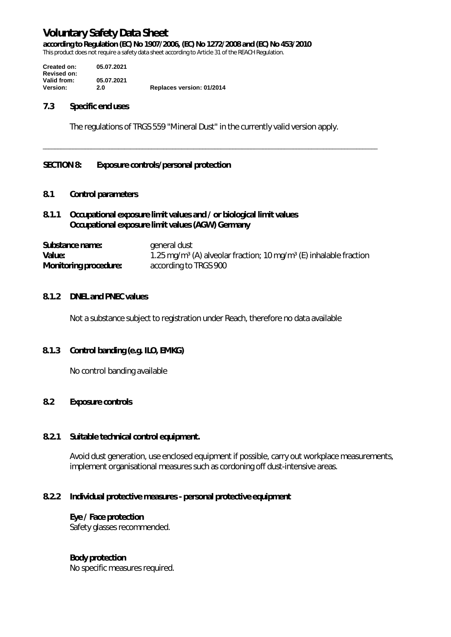**according to Regulation (EC) No 1907/2006, (EC) No 1272/2008 and (EC) No 453/2010** 

This product does not require a safety data sheet according to Article 31 of the REACH Regulation.

**Created on: 05.07.2021 Revised on: Valid from: 05.07.2021 Replaces version: 01/2014** 

#### **7.3 Specific end uses**

The regulations of TRGS 559 "Mineral Dust" in the currently valid version apply.

\_\_\_\_\_\_\_\_\_\_\_\_\_\_\_\_\_\_\_\_\_\_\_\_\_\_\_\_\_\_\_\_\_\_\_\_\_\_\_\_\_\_\_\_\_\_\_\_\_\_\_\_\_\_\_\_\_\_\_\_\_\_\_\_\_\_\_\_\_\_\_\_\_\_\_\_\_\_\_\_\_\_\_\_\_\_\_\_\_\_\_\_\_\_\_\_\_\_\_\_\_\_\_\_\_\_\_\_\_\_\_

#### **SECTION 8: Exposure controls/personal protection**

# **8.1 Control parameters**

# **8.1.1 Occupational exposure limit values and / or biological limit values Occupational exposure limit values (AGW) Germany**

| Substance name:              | general dust                                                                              |
|------------------------------|-------------------------------------------------------------------------------------------|
| Value:                       | 1.25 mg/m <sup>3</sup> (A) alveolar fraction; 10 mg/m <sup>3</sup> (E) inhalable fraction |
| <b>Monitoring procedure:</b> | according to TRGS 900                                                                     |

#### **8.1.2 DNEL and PNEC values**

Not a substance subject to registration under Reach, therefore no data available

#### **8.1.3 Control banding (e.g. ILO, EMKG)**

No control banding available

### **8.2 Exposure controls**

#### **8.2.1 Suitable technical control equipment.**

Avoid dust generation, use enclosed equipment if possible, carry out workplace measurements, implement organisational measures such as cordoning off dust-intensive areas.

# **8.2.2 Individual protective measures - personal protective equipment**

#### **Eye / Face protection**

Safety glasses recommended.

# **Body protection**

No specific measures required.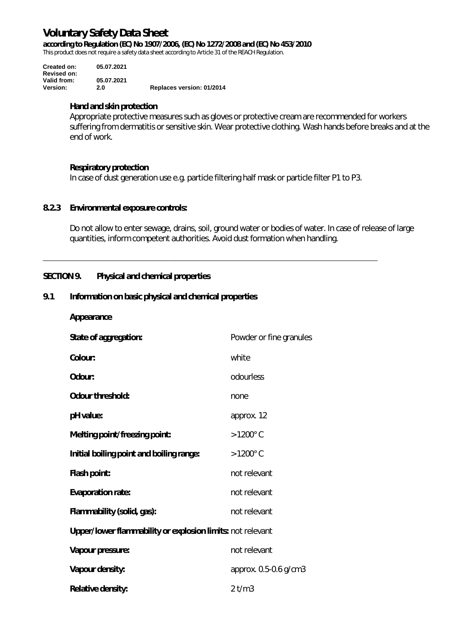**according to Regulation (EC) No 1907/2006, (EC) No 1272/2008 and (EC) No 453/2010** 

This product does not require a safety data sheet according to Article 31 of the REACH Regulation.

| Created on:<br><b>Revised on:</b> | 05.07.2021        |                           |
|-----------------------------------|-------------------|---------------------------|
| Valid from:<br>Version:           | 05.07.2021<br>2.0 | Replaces version: 01/2014 |

#### **Hand and skin protection**

Appropriate protective measures such as gloves or protective cream are recommended for workers suffering from dermatitis or sensitive skin. Wear protective clothing. Wash hands before breaks and at the end of work.

# **Respiratory protection**

In case of dust generation use e.g. particle filtering half mask or particle filter P1 to P3.

\_\_\_\_\_\_\_\_\_\_\_\_\_\_\_\_\_\_\_\_\_\_\_\_\_\_\_\_\_\_\_\_\_\_\_\_\_\_\_\_\_\_\_\_\_\_\_\_\_\_\_\_\_\_\_\_\_\_\_\_\_\_\_\_\_\_\_\_\_\_\_\_\_\_\_\_\_\_\_\_\_\_\_\_\_\_\_\_\_\_\_\_\_\_\_\_\_\_\_\_\_\_\_\_\_\_\_\_\_\_\_

#### **8.2.3 Environmental exposure controls:**

Do not allow to enter sewage, drains, soil, ground water or bodies of water. In case of release of large quantities, inform competent authorities. Avoid dust formation when handling.

# **SECTION 9. Physical and chemical properties**

# **9.1 Information on basic physical and chemical properties**

| Appearance |
|------------|
|------------|

| State of aggregation:                                      | Powder or fine granules |  |
|------------------------------------------------------------|-------------------------|--|
| Colour:                                                    | white                   |  |
| Odour:                                                     | odourless               |  |
| <b>Odour threshold:</b>                                    | none                    |  |
| pH value:                                                  | approx. 12              |  |
| Melting point/freezing point:                              | $>1200^{\circ}$ C       |  |
| Initial boiling point and boiling range:                   | $>1200^{\circ}$ C       |  |
| Flash point:                                               | not relevant            |  |
| <b>Evaporation rate:</b>                                   | not relevant            |  |
| Flammability (solid, gas):                                 | not relevant            |  |
| Upper/lower flammability or explosion limits: not relevant |                         |  |
| Vapour pressure:                                           | not relevant            |  |
| Vapour density:                                            | approx. 0.5-0.6 g/cm3   |  |
| <b>Relative density:</b>                                   | 2 t/m3                  |  |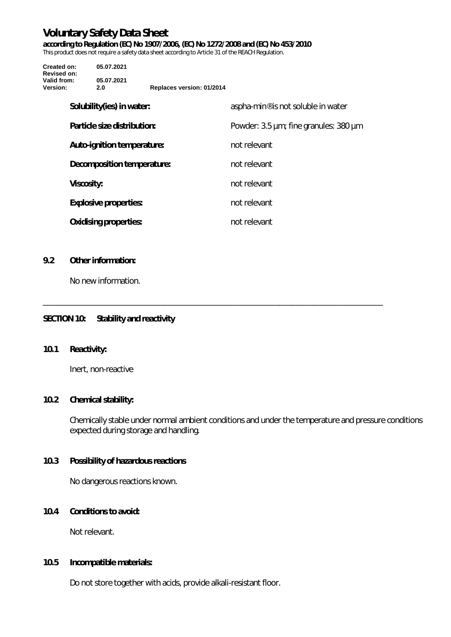**according to Regulation (EC) No 1907/2006, (EC) No 1272/2008 and (EC) No 453/2010** 

This product does not require a safety data sheet according to Article 31 of the REACH Regulation.

| Created on:<br><b>Revised on:</b> | 05.07.2021                   |                           |                                                |
|-----------------------------------|------------------------------|---------------------------|------------------------------------------------|
| Valid from:<br>Version:           | 05.07.2021<br>2.0            | Replaces version: 01/2014 |                                                |
|                                   | Solubility(ies) in water:    |                           | aspha-min <sup>®</sup> is not soluble in water |
|                                   | Particle size distribution:  |                           | Powder: 3.5 µm; fine granules: 380 µm          |
|                                   | Auto-ignition temperature:   |                           | not relevant                                   |
|                                   | Decomposition temperature:   |                           | not relevant                                   |
| <b>Viscosity:</b>                 |                              |                           | not relevant                                   |
|                                   | <b>Explosive properties:</b> |                           | not relevant                                   |
|                                   | <b>Oxidising properties:</b> |                           | not relevant                                   |

\_\_\_\_\_\_\_\_\_\_\_\_\_\_\_\_\_\_\_\_\_\_\_\_\_\_\_\_\_\_\_\_\_\_\_\_\_\_\_\_\_\_\_\_\_\_\_\_\_\_\_\_\_\_\_\_\_\_\_\_\_\_\_\_\_\_\_\_\_\_\_\_\_\_\_\_\_\_\_\_\_\_

#### **9.2 Other information:**

No new information.

# **SECTION 10: Stability and reactivity**

# **10.1 Reactivity:**

Inert, non-reactive

# **10.2 Chemical stability:**

Chemically stable under normal ambient conditions and under the temperature and pressure conditions expected during storage and handling.

# **10.3 Possibility of hazardous reactions**

No dangerous reactions known.

### **10.4 Conditions to avoid:**

Not relevant.

#### **10.5 Incompatible materials:**

Do not store together with acids, provide alkali-resistant floor.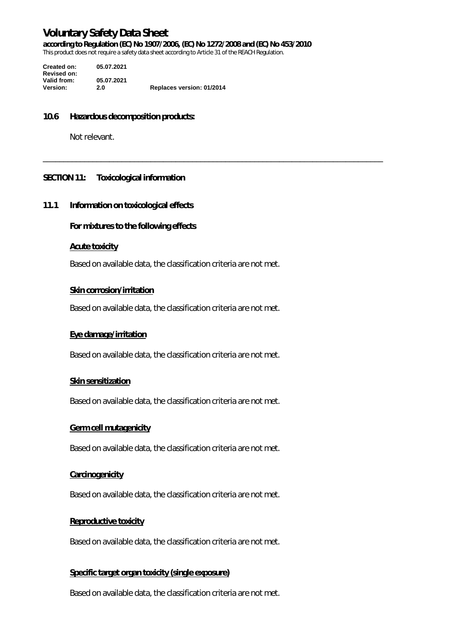**according to Regulation (EC) No 1907/2006, (EC) No 1272/2008 and (EC) No 453/2010** 

\_\_\_\_\_\_\_\_\_\_\_\_\_\_\_\_\_\_\_\_\_\_\_\_\_\_\_\_\_\_\_\_\_\_\_\_\_\_\_\_\_\_\_\_\_\_\_\_\_\_\_\_\_\_\_\_\_\_\_\_\_\_\_\_\_\_\_\_\_\_\_\_\_\_\_\_\_\_\_\_\_\_

This product does not require a safety data sheet according to Article 31 of the REACH Regulation.

**Created on: 05.07.2021 Revised on: Valid from: 05.07.2021 Version: 2.0 Replaces version: 01/2014**

#### **10.6 Hazardous decomposition products:**

Not relevant.

#### **SECTION 11: Toxicological information**

#### **11.1 Information on toxicological effects**

**For mixtures to the following effects** 

#### **Acute toxicity**

Based on available data, the classification criteria are not met.

#### **Skin corrosion/irritation**

Based on available data, the classification criteria are not met.

#### **Eye damage/irritation**

Based on available data, the classification criteria are not met.

#### **Skin sensitization**

Based on available data, the classification criteria are not met.

#### **Germ cell mutagenicity**

Based on available data, the classification criteria are not met.

#### **Carcinogenicity**

Based on available data, the classification criteria are not met.

#### **Reproductive toxicity**

Based on available data, the classification criteria are not met.

#### **Specific target organ toxicity (single exposure)**

Based on available data, the classification criteria are not met.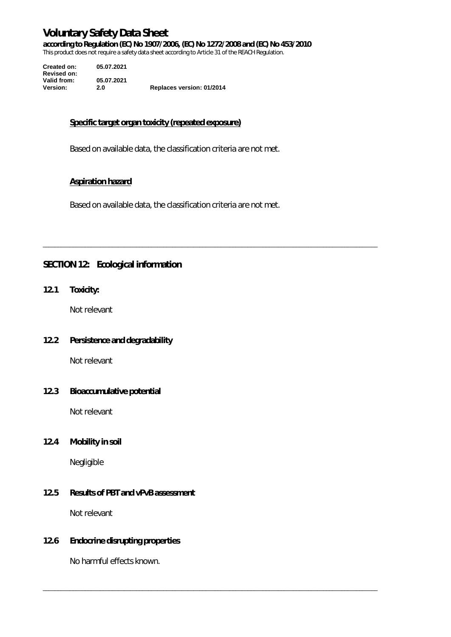**according to Regulation (EC) No 1907/2006, (EC) No 1272/2008 and (EC) No 453/2010** 

This product does not require a safety data sheet according to Article 31 of the REACH Regulation.

| Created on:        | 05.07.2021 |                           |
|--------------------|------------|---------------------------|
| <b>Revised on:</b> |            |                           |
| Valid from:        | 05.07.2021 |                           |
| <b>Version:</b>    | 2.0        | Replaces version: 01/2014 |

# **Specific target organ toxicity (repeated exposure)**

Based on available data, the classification criteria are not met.

# **Aspiration hazard**

Based on available data, the classification criteria are not met.

\_\_\_\_\_\_\_\_\_\_\_\_\_\_\_\_\_\_\_\_\_\_\_\_\_\_\_\_\_\_\_\_\_\_\_\_\_\_\_\_\_\_\_\_\_\_\_\_\_\_\_\_\_\_\_\_\_\_\_\_\_\_\_\_\_\_\_\_\_\_\_\_\_\_\_\_\_\_\_\_\_\_\_\_\_\_\_\_\_\_\_\_\_\_\_\_\_\_\_\_\_\_\_\_\_\_\_\_\_\_\_

\_\_\_\_\_\_\_\_\_\_\_\_\_\_\_\_\_\_\_\_\_\_\_\_\_\_\_\_\_\_\_\_\_\_\_\_\_\_\_\_\_\_\_\_\_\_\_\_\_\_\_\_\_\_\_\_\_\_\_\_\_\_\_\_\_\_\_\_\_\_\_\_\_\_\_\_\_\_\_\_\_\_\_\_\_\_\_\_\_\_\_\_\_\_\_\_\_\_\_\_\_\_\_\_\_\_\_\_\_\_\_

# **SECTION 12: Ecological information**

**12.1 Toxicity:** 

Not relevant

# **12.2 Persistence and degradability**

Not relevant

# **12.3 Bioaccumulative potential**

Not relevant

# **12.4 Mobility in soil**

Negligible

# **12.5 Results of PBT and vPvB assessment**

Not relevant

# **12.6 Endocrine disrupting properties**

No harmful effects known.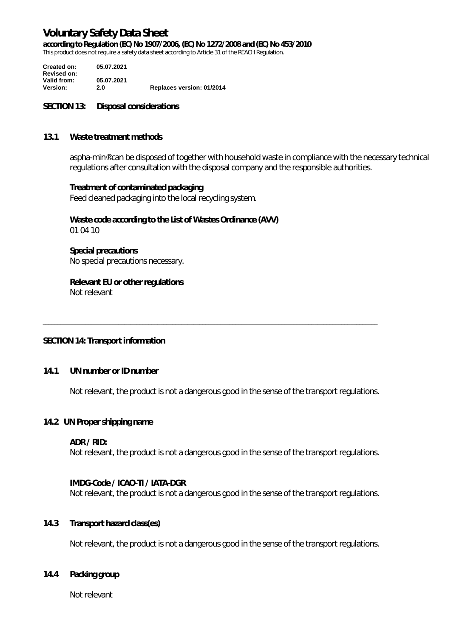**according to Regulation (EC) No 1907/2006, (EC) No 1272/2008 and (EC) No 453/2010** 

This product does not require a safety data sheet according to Article 31 of the REACH Regulation.

**Created on: 05.07.2021 Revised on: Valid from: 05.07.2021 Version: 2.0 Replaces version: 01/2014**

#### **SECTION 13: Disposal considerations**

#### **13.1 Waste treatment methods**

aspha-min® can be disposed of together with household waste in compliance with the necessary technical regulations after consultation with the disposal company and the responsible authorities.

#### **Treatment of contaminated packaging**

Feed cleaned packaging into the local recycling system.

#### **Waste code according to the List of Wastes Ordinance (AVV)**  01 04 10

**Special precautions**  No special precautions necessary.

# **Relevant EU or other regulations**

Not relevant

# **SECTION 14: Transport information**

#### **14.1 UN number or ID number**

Not relevant, the product is not a dangerous good in the sense of the transport regulations.

\_\_\_\_\_\_\_\_\_\_\_\_\_\_\_\_\_\_\_\_\_\_\_\_\_\_\_\_\_\_\_\_\_\_\_\_\_\_\_\_\_\_\_\_\_\_\_\_\_\_\_\_\_\_\_\_\_\_\_\_\_\_\_\_\_\_\_\_\_\_\_\_\_\_\_\_\_\_\_\_\_\_\_\_\_\_\_\_\_\_\_\_\_\_\_\_\_\_\_\_\_\_\_\_\_\_\_\_\_\_\_

#### **14.2 UN Proper shipping name**

#### **ADR / RID:**

Not relevant, the product is not a dangerous good in the sense of the transport regulations.

#### **IMDG-Code / ICAO-TI / IATA-DGR**

Not relevant, the product is not a dangerous good in the sense of the transport regulations.

# **14.3 Transport hazard class(es)**

Not relevant, the product is not a dangerous good in the sense of the transport regulations.

#### **14.4 Packing group**

Not relevant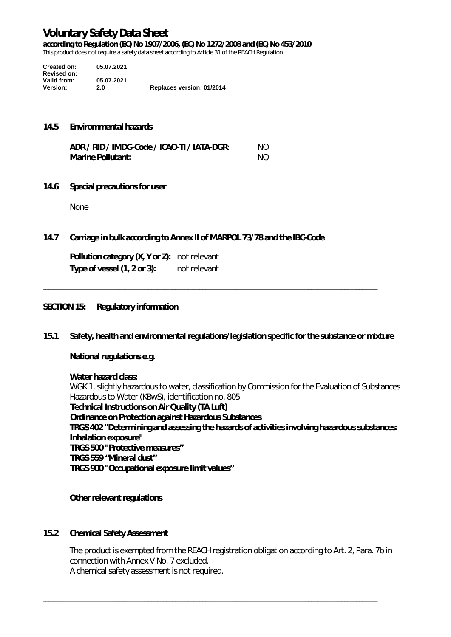**according to Regulation (EC) No 1907/2006, (EC) No 1272/2008 and (EC) No 453/2010** 

This product does not require a safety data sheet according to Article 31 of the REACH Regulation.

| Created on:        | 05.07.2021 |                           |
|--------------------|------------|---------------------------|
| <b>Revised on:</b> |            |                           |
| Valid from:        | 05.07.2021 |                           |
| <b>Version:</b>    | 2.0        | Replaces version: 01/2014 |

#### **14.5 Envirommental hazards**

| ADR / RID / IMDG-Code / ICAO-TI / IATA-DGR: | NO. |
|---------------------------------------------|-----|
| <b>Marine Pollutant:</b>                    | NO. |

**14.6 Special precautions for user** 

None

**14.7 Carriage in bulk according to Annex II of MARPOL 73/78 and the IBC-Code** 

**Pollution category (X, Y or Z):** not relevant **Type of vessel (1, 2 or 3):** not relevant

#### **SECTION 15: Regulatory information**

**15.1 Safety, health and environmental regulations/legislation specific for the substance or mixture** 

\_\_\_\_\_\_\_\_\_\_\_\_\_\_\_\_\_\_\_\_\_\_\_\_\_\_\_\_\_\_\_\_\_\_\_\_\_\_\_\_\_\_\_\_\_\_\_\_\_\_\_\_\_\_\_\_\_\_\_\_\_\_\_\_\_\_\_\_\_\_\_\_\_\_\_\_\_\_\_\_\_\_\_\_\_\_\_\_\_\_\_\_\_\_\_\_\_\_\_\_\_\_\_\_\_\_\_\_\_\_\_

# **National regulations e.g.**

#### **Water hazard class:**

WGK 1, slightly hazardous to water, classification by Commission for the Evaluation of Substances Hazardous to Water (KBwS), identification no. 805 **Technical Instructions on Air Quality (TA Luft) Ordinance on Protection against Hazardous Substances TRGS 402 "Determining and assessing the hazards of activities involving hazardous substances: Inhalation exposure" TRGS 500 "Protective measures" TRGS 559 "Mineral dust" TRGS 900 "Occupational exposure limit values"** 

#### **Other relevant regulations**

# **15.2 Chemical Safety Assessment**

The product is exempted from the REACH registration obligation according to Art. 2, Para. 7b in connection with Annex V No. 7 excluded. A chemical safety assessment is not required.

\_\_\_\_\_\_\_\_\_\_\_\_\_\_\_\_\_\_\_\_\_\_\_\_\_\_\_\_\_\_\_\_\_\_\_\_\_\_\_\_\_\_\_\_\_\_\_\_\_\_\_\_\_\_\_\_\_\_\_\_\_\_\_\_\_\_\_\_\_\_\_\_\_\_\_\_\_\_\_\_\_\_\_\_\_\_\_\_\_\_\_\_\_\_\_\_\_\_\_\_\_\_\_\_\_\_\_\_\_\_\_